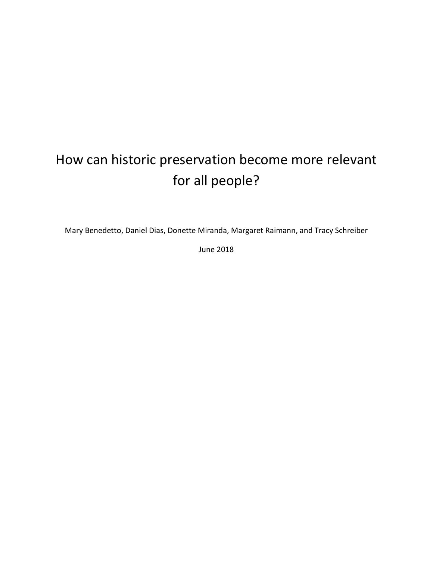# How can historic preservation become more relevant for all people?

Mary Benedetto, Daniel Dias, Donette Miranda, Margaret Raimann, and Tracy Schreiber

June 2018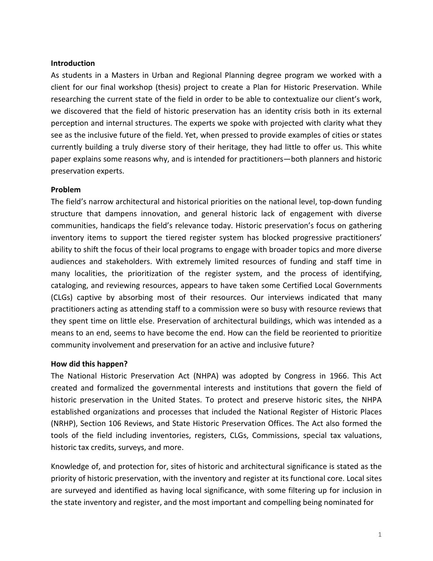## **Introduction**

As students in a Masters in Urban and Regional Planning degree program we worked with a client for our final workshop (thesis) project to create a Plan for Historic Preservation. While researching the current state of the field in order to be able to contextualize our client's work, we discovered that the field of historic preservation has an identity crisis both in its external perception and internal structures. The experts we spoke with projected with clarity what they see as the inclusive future of the field. Yet, when pressed to provide examples of cities or states currently building a truly diverse story of their heritage, they had little to offer us. This white paper explains some reasons why, and is intended for practitioners—both planners and historic preservation experts.

### **Problem**

The field's narrow architectural and historical priorities on the national level, top-down funding structure that dampens innovation, and general historic lack of engagement with diverse communities, handicaps the field's relevance today. Historic preservation's focus on gathering inventory items to support the tiered register system has blocked progressive practitioners' ability to shift the focus of their local programs to engage with broader topics and more diverse audiences and stakeholders. With extremely limited resources of funding and staff time in many localities, the prioritization of the register system, and the process of identifying, cataloging, and reviewing resources, appears to have taken some Certified Local Governments (CLGs) captive by absorbing most of their resources. Our interviews indicated that many practitioners acting as attending staff to a commission were so busy with resource reviews that they spent time on little else. Preservation of architectural buildings, which was intended as a means to an end, seems to have become the end. How can the field be reoriented to prioritize community involvement and preservation for an active and inclusive future?

#### **How did this happen?**

The National Historic Preservation Act (NHPA) was adopted by Congress in 1966. This Act created and formalized the governmental interests and institutions that govern the field of historic preservation in the United States. To protect and preserve historic sites, the NHPA established organizations and processes that included the National Register of Historic Places (NRHP), Section 106 Reviews, and State Historic Preservation Offices. The Act also formed the tools of the field including inventories, registers, CLGs, Commissions, special tax valuations, historic tax credits, surveys, and more.

Knowledge of, and protection for, sites of historic and architectural significance is stated as the priority of historic preservation, with the inventory and register at its functional core. Local sites are surveyed and identified as having local significance, with some filtering up for inclusion in the state inventory and register, and the most important and compelling being nominated for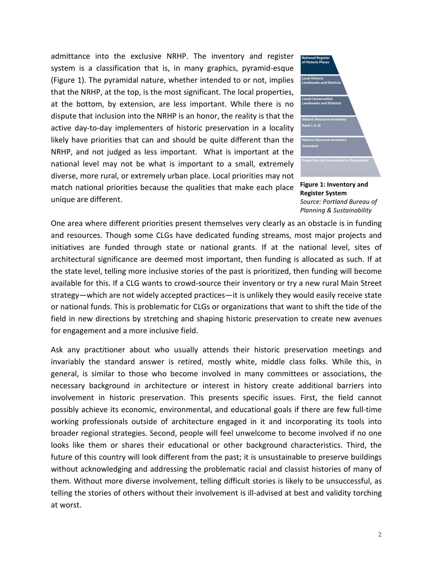admittance into the exclusive NRHP. The inventory and register system is a classification that is, in many graphics, pyramid-esque (Figure 1). The pyramidal nature, whether intended to or not, implies that the NRHP, at the top, is the most significant. The local properties, at the bottom, by extension, are less important. While there is no dispute that inclusion into the NRHP is an honor, the reality is that the active day-to-day implementers of historic preservation in a locality likely have priorities that can and should be quite different than the NRHP, and not judged as less important. What is important at the national level may not be what is important to a small, extremely diverse, more rural, or extremely urban place. Local priorities may not match national priorities because the qualities that make each place unique are different.



**Figure 1: Inventory and Register System** *Source: Portland Bureau of Planning & Sustainability*

One area where different priorities present themselves very clearly as an obstacle is in funding and resources. Though some CLGs have dedicated funding streams, most major projects and initiatives are funded through state or national grants. If at the national level, sites of architectural significance are deemed most important, then funding is allocated as such. If at the state level, telling more inclusive stories of the past is prioritized, then funding will become available for this. If a CLG wants to crowd-source their inventory or try a new rural Main Street strategy—which are not widely accepted practices—it is unlikely they would easily receive state or national funds. This is problematic for CLGs or organizations that want to shift the tide of the field in new directions by stretching and shaping historic preservation to create new avenues for engagement and a more inclusive field.

Ask any practitioner about who usually attends their historic preservation meetings and invariably the standard answer is retired, mostly white, middle class folks. While this, in general, is similar to those who become involved in many committees or associations, the necessary background in architecture or interest in history create additional barriers into involvement in historic preservation. This presents specific issues. First, the field cannot possibly achieve its economic, environmental, and educational goals if there are few full-time working professionals outside of architecture engaged in it and incorporating its tools into broader regional strategies. Second, people will feel unwelcome to become involved if no one looks like them or shares their educational or other background characteristics. Third, the future of this country will look different from the past; it is unsustainable to preserve buildings without acknowledging and addressing the problematic racial and classist histories of many of them. Without more diverse involvement, telling difficult stories is likely to be unsuccessful, as telling the stories of others without their involvement is ill-advised at best and validity torching at worst.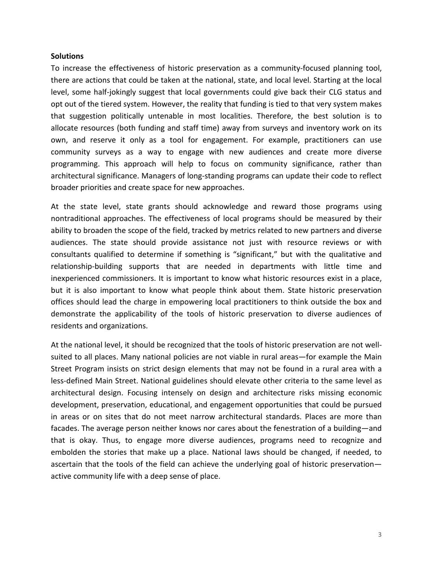#### **Solutions**

To increase the effectiveness of historic preservation as a community-focused planning tool, there are actions that could be taken at the national, state, and local level. Starting at the local level, some half-jokingly suggest that local governments could give back their CLG status and opt out of the tiered system. However, the reality that funding is tied to that very system makes that suggestion politically untenable in most localities. Therefore, the best solution is to allocate resources (both funding and staff time) away from surveys and inventory work on its own, and reserve it only as a tool for engagement. For example, practitioners can use community surveys as a way to engage with new audiences and create more diverse programming. This approach will help to focus on community significance, rather than architectural significance. Managers of long-standing programs can update their code to reflect broader priorities and create space for new approaches.

At the state level, state grants should acknowledge and reward those programs using nontraditional approaches. The effectiveness of local programs should be measured by their ability to broaden the scope of the field, tracked by metrics related to new partners and diverse audiences. The state should provide assistance not just with resource reviews or with consultants qualified to determine if something is "significant," but with the qualitative and relationship-building supports that are needed in departments with little time and inexperienced commissioners. It is important to know what historic resources exist in a place, but it is also important to know what people think about them. State historic preservation offices should lead the charge in empowering local practitioners to think outside the box and demonstrate the applicability of the tools of historic preservation to diverse audiences of residents and organizations.

At the national level, it should be recognized that the tools of historic preservation are not wellsuited to all places. Many national policies are not viable in rural areas—for example the Main Street Program insists on strict design elements that may not be found in a rural area with a less-defined Main Street. National guidelines should elevate other criteria to the same level as architectural design. Focusing intensely on design and architecture risks missing economic development, preservation, educational, and engagement opportunities that could be pursued in areas or on sites that do not meet narrow architectural standards. Places are more than facades. The average person neither knows nor cares about the fenestration of a building—and that is okay. Thus, to engage more diverse audiences, programs need to recognize and embolden the stories that make up a place. National laws should be changed, if needed, to ascertain that the tools of the field can achieve the underlying goal of historic preservation active community life with a deep sense of place.